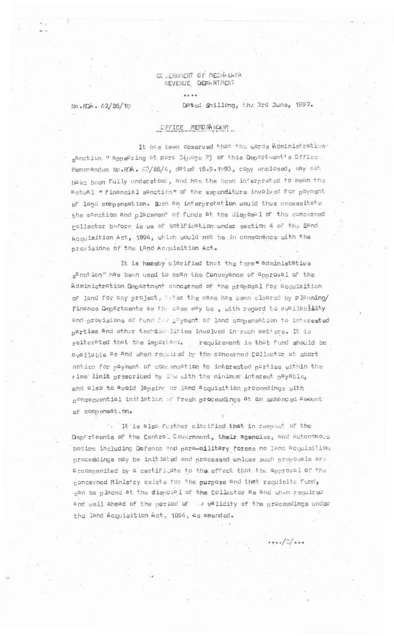## GE JERNMENT OF MEGHALLAYA REVENUE DEPHRTMENT

No. RDA. 62/86/10

Dated Shillong, the 3rd June, 1997.

## DFFICE MEMORANOUM

 $11.11$ 

It has been observed that the words Administrative sanction " appearing at para 3(page 2) of this Department's Office Memorandum No.RA. 62/86/4, dated 18.9.1993, copy enclosed, may not have been fully understood, and has the been interpreted to mean the actual " financial sanction" of the expenditure involved for payment of land compensation. Such an interpretation would thus necessitate the sanction and placement of funds at the disposal of the concerned rollector before is ue of Notification under section 4 of the Dand Acquisition Act, 1894, which would not be in consonance with the pravisions of the Land Acquisition Act.

It is hereby clarified that the term" administative s<sup>anction</sup>" has been used to mean the Conveyance of approval of the Administration Department concerned of the proposal for acquisition of land for any project, after the same has been cleared by planning/ Finance Departments as the case may be, with regard to availability and provisions of fund for payment of land compensation to interested parties and other technic. Lities involved in such matters. It is reiterated that the important: requirement is that fund should be available as and when required by the concerned Collector at chort notice for payment of compensation to interested parties within the time limit prescribed by law with the minimum interest payable, and also to avoid lapsing or land acquisition proceedings with consequential initiation of fresh proceedings at an enhanced amount of compensat.on.

. It is also further clarified that in respect of the Departments of the Central Government, their agencies, and autonomous bodies including Defence and para-military forces no land acquisition proceedings may be initiated and processed unless such proposals are accompenited by a certificate to the effect that the approval of the concerned Ministry exists for the purpose and that requisite fund, can be placed at the disposal of the Collector as and when required and well ahead of the period of a validity of the proceedings under the land Acquisition Act, 1894, as amended.

 $...(-2)$